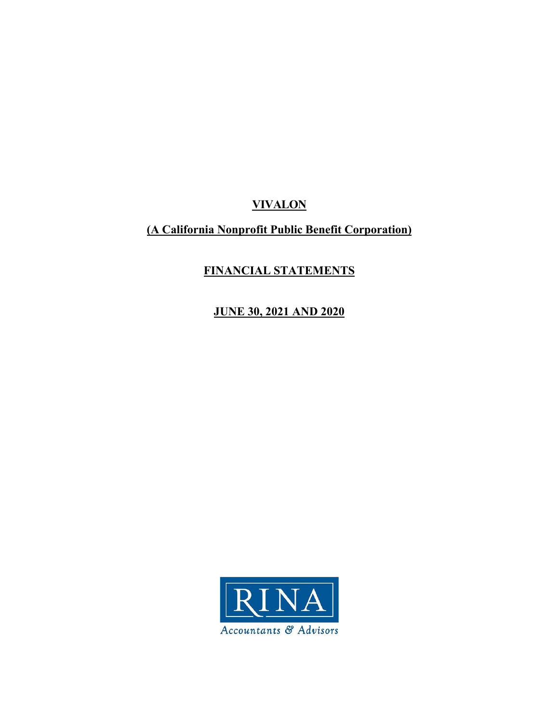# **(A California Nonprofit Public Benefit Corporation)**

# **FINANCIAL STATEMENTS**

**JUNE 30, 2021 AND 2020** 

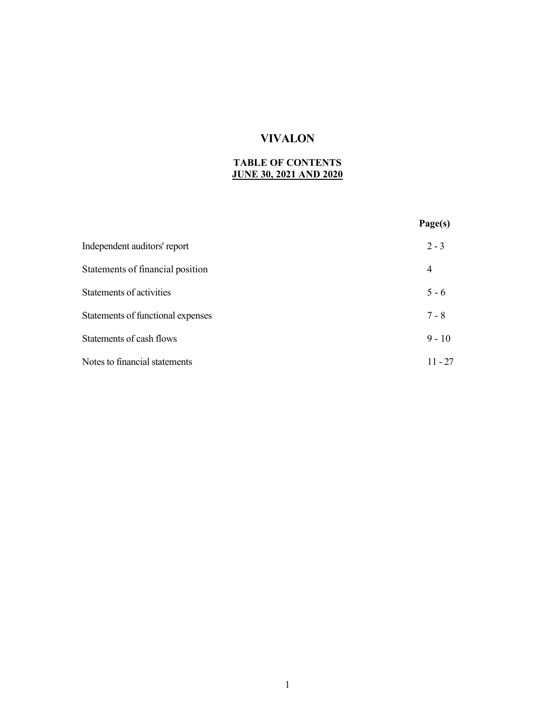## **TABLE OF CONTENTS JUNE 30, 2021 AND 2020**

|                                   | Page(s)   |
|-----------------------------------|-----------|
| Independent auditors' report      | $2 - 3$   |
| Statements of financial position  | 4         |
| Statements of activities          | $5 - 6$   |
| Statements of functional expenses | $7 - 8$   |
| Statements of cash flows          | $9 - 10$  |
| Notes to financial statements     | $11 - 27$ |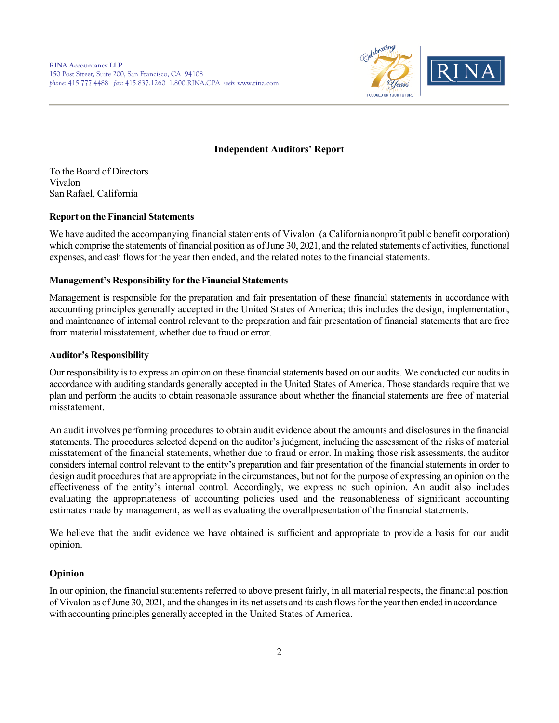

## **Independent Auditors' Report**

To the Board of Directors Vivalon San Rafael, California

## **Report on the Financial Statements**

We have audited the accompanying financial statements of Vivalon (a California nonprofit public benefit corporation) which comprise the statements of financial position as of June 30, 2021, and the related statements of activities, functional expenses, and cash flows for the year then ended, and the related notes to the financial statements.

### **Management's Responsibility for the Financial Statements**

Management is responsible for the preparation and fair presentation of these financial statements in accordance with accounting principles generally accepted in the United States of America; this includes the design, implementation, and maintenance of internal control relevant to the preparation and fair presentation of financial statements that are free from material misstatement, whether due to fraud or error.

## **Auditor's Responsibility**

Our responsibility is to express an opinion on these financial statements based on our audits. We conducted our audits in accordance with auditing standards generally accepted in the United States of America. Those standards require that we plan and perform the audits to obtain reasonable assurance about whether the financial statements are free of material misstatement.

An audit involves performing procedures to obtain audit evidence about the amounts and disclosures in the financial statements. The procedures selected depend on the auditor's judgment, including the assessment of the risks of material misstatement of the financial statements, whether due to fraud or error. In making those risk assessments, the auditor considers internal control relevant to the entity's preparation and fair presentation of the financial statements in order to design audit procedures that are appropriate in the circumstances, but not for the purpose of expressing an opinion on the effectiveness of the entity's internal control. Accordingly, we express no such opinion. An audit also includes evaluating the appropriateness of accounting policies used and the reasonableness of significant accounting estimates made by management, as well as evaluating the overall presentation of the financial statements.

We believe that the audit evidence we have obtained is sufficient and appropriate to provide a basis for our audit opinion.

## **Opinion**

In our opinion, the financial statements referred to above present fairly, in all material respects, the financial position of Vivalon as of June 30, 2021, and the changes in its net assets and its cash flows for the year then ended in accordance with accounting principles generally accepted in the United States of America.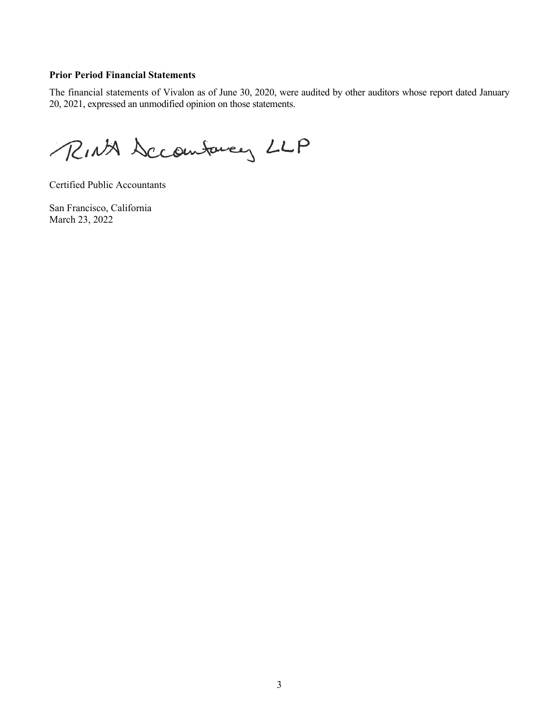## **Prior Period Financial Statements**

The financial statements of Vivalon as of June 30, 2020, were audited by other auditors whose report dated January 20, 2021, expressed an unmodified opinion on those statements.

RINA Seconfaces LLP

Certified Public Accountants

San Francisco, California March 23, 2022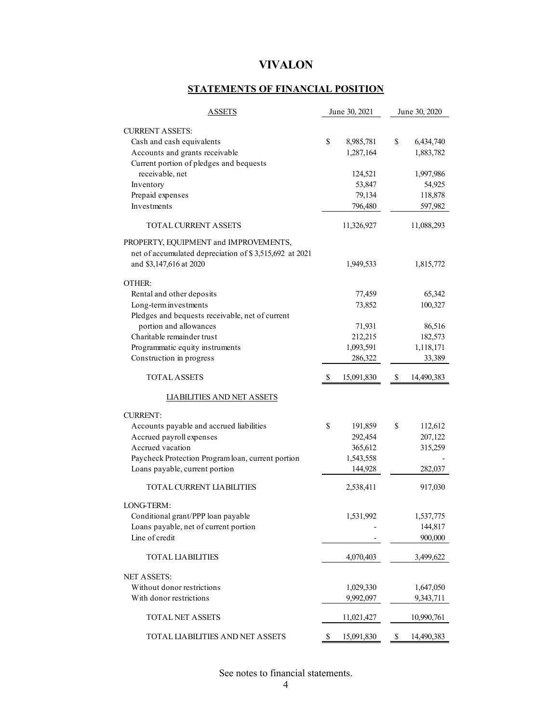## **STATEMENTS OF FINANCIAL POSITION**

| <b>ASSETS</b>                                          |    | June 30, 2021 | June 30, 2020 |            |  |
|--------------------------------------------------------|----|---------------|---------------|------------|--|
| <b>CURRENT ASSETS:</b>                                 |    |               |               |            |  |
| Cash and cash equivalents                              | \$ | 8,985,781     | \$            | 6,434,740  |  |
| Accounts and grants receivable                         |    | 1,287,164     |               | 1,883,782  |  |
| Current portion of pledges and bequests                |    |               |               |            |  |
| receivable, net                                        |    | 124,521       |               | 1,997,986  |  |
| Inventory                                              |    | 53,847        |               | 54,925     |  |
| Prepaid expenses                                       |    | 79,134        |               | 118,878    |  |
| Investments                                            |    | 796,480       |               | 597,982    |  |
| <b>TOTAL CURRENT ASSETS</b>                            |    | 11,326,927    |               | 11,088,293 |  |
| PROPERTY, EQUIPMENT and IMPROVEMENTS,                  |    |               |               |            |  |
| net of accumulated depreciation of \$3,515,692 at 2021 |    |               |               |            |  |
| and \$3,147,616 at 2020                                |    | 1,949,533     |               | 1,815,772  |  |
|                                                        |    |               |               |            |  |
| OTHER:                                                 |    |               |               |            |  |
| Rental and other deposits                              |    | 77,459        |               | 65,342     |  |
| Long-term investments                                  |    | 73,852        |               | 100,327    |  |
| Pledges and bequests receivable, net of current        |    |               |               |            |  |
| portion and allowances                                 |    | 71,931        |               | 86,516     |  |
| Charitable remainder trust                             |    | 212,215       |               | 182,573    |  |
| Programmatic equity instruments                        |    | 1,093,591     |               | 1,118,171  |  |
| Construction in progress                               |    | 286,322       |               | 33,389     |  |
| TOTAL ASSETS                                           | S  | 15,091,830    | \$            | 14,490,383 |  |
| <b>LIABILITIES AND NET ASSETS</b>                      |    |               |               |            |  |
| <b>CURRENT:</b>                                        |    |               |               |            |  |
| Accounts payable and accrued liabilities               | \$ | 191,859       | \$            | 112,612    |  |
| Accrued payroll expenses                               |    | 292,454       |               | 207,122    |  |
| Accrued vacation                                       |    | 365,612       |               | 315,259    |  |
| Paycheck Protection Program loan, current portion      |    | 1,543,558     |               |            |  |
| Loans payable, current portion                         |    | 144,928       |               | 282,037    |  |
| TOTAL CURRENT LIABILITIES                              |    | 2,538,411     |               | 917,030    |  |
| LONG-TERM:                                             |    |               |               |            |  |
| Conditional grant/PPP loan payable                     |    | 1,531,992     |               | 1,537,775  |  |
| Loans payable, net of current portion                  |    |               |               | 144,817    |  |
| Line of credit                                         |    |               |               | 900,000    |  |
| <b>TOTAL LIABILITIES</b>                               |    | 4,070,403     |               | 3,499,622  |  |
| <b>NET ASSETS:</b>                                     |    |               |               |            |  |
| Without donor restrictions                             |    |               |               |            |  |
| With donor restrictions                                |    | 1,029,330     |               | 1,647,050  |  |
|                                                        |    | 9,992,097     |               | 9,343,711  |  |
| <b>TOTAL NET ASSETS</b>                                |    | 11,021,427    |               | 10,990,761 |  |
| TOTAL LIABILITIES AND NET ASSETS                       | \$ | 15,091,830    | \$            | 14,490,383 |  |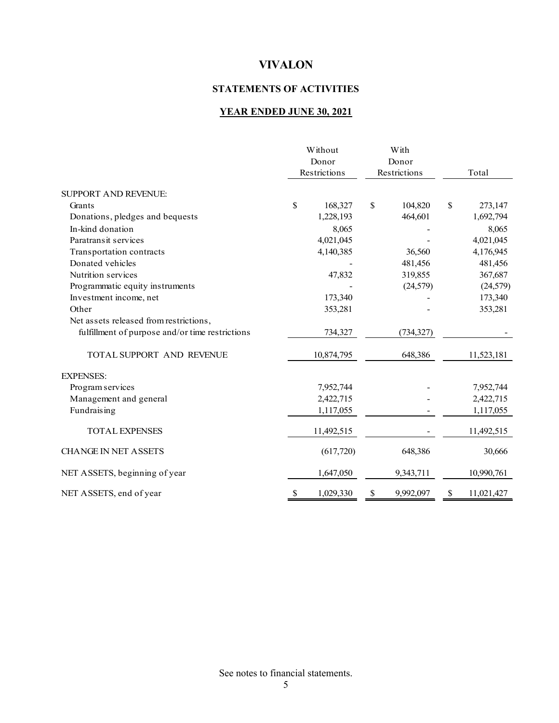## **STATEMENTS OF ACTIVITIES**

## **YEAR ENDED JUNE 30, 2021**

|                                                 | Without<br>Donor<br>Restrictions | With<br>Donor<br>Restrictions | Total            |
|-------------------------------------------------|----------------------------------|-------------------------------|------------------|
| <b>SUPPORT AND REVENUE:</b>                     |                                  |                               |                  |
| Grants                                          | \$<br>168,327                    | \$<br>104,820                 | \$<br>273,147    |
| Donations, pledges and bequests                 | 1,228,193                        | 464,601                       | 1,692,794        |
| In-kind donation                                | 8,065                            |                               | 8,065            |
| Paratransit services                            | 4,021,045                        |                               | 4,021,045        |
| Transportation contracts                        | 4,140,385                        | 36,560                        | 4,176,945        |
| Donated vehicles                                |                                  | 481,456                       | 481,456          |
| Nutrition services                              | 47,832                           | 319,855                       | 367,687          |
| Programmatic equity instruments                 |                                  | (24, 579)                     | (24, 579)        |
| Investment income, net                          | 173,340                          |                               | 173,340          |
| Other                                           | 353,281                          |                               | 353,281          |
| Net assets released from restrictions,          |                                  |                               |                  |
| fulfillment of purpose and/or time restrictions | 734,327                          | (734, 327)                    |                  |
| TOTAL SUPPORT AND REVENUE                       | 10,874,795                       | 648,386                       | 11,523,181       |
| <b>EXPENSES:</b>                                |                                  |                               |                  |
| Program services                                | 7,952,744                        |                               | 7,952,744        |
| Management and general                          | 2,422,715                        |                               | 2,422,715        |
| Fundraising                                     | 1,117,055                        |                               | 1,117,055        |
| <b>TOTAL EXPENSES</b>                           | 11,492,515                       |                               | 11,492,515       |
| <b>CHANGE IN NET ASSETS</b>                     | (617,720)                        | 648,386                       | 30,666           |
| NET ASSETS, beginning of year                   | 1,647,050                        | 9,343,711                     | 10,990,761       |
| NET ASSETS, end of year                         | \$<br>1,029,330                  | \$<br>9,992,097               | \$<br>11,021,427 |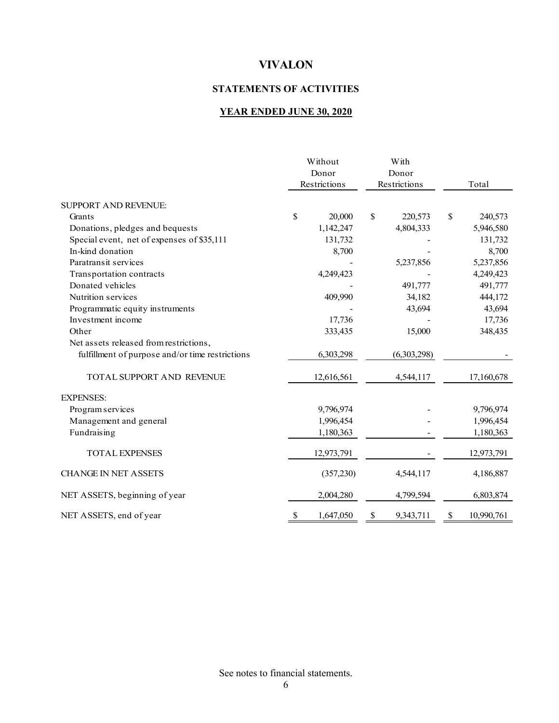## **STATEMENTS OF ACTIVITIES**

## **YEAR ENDED JUNE 30, 2020**

|                                                 | Without<br>Donor |              | With<br>Donor   |                  |
|-------------------------------------------------|------------------|--------------|-----------------|------------------|
|                                                 |                  | Restrictions | Restrictions    | Total            |
| <b>SUPPORT AND REVENUE:</b>                     |                  |              |                 |                  |
| Grants                                          | \$               | 20,000       | \$<br>220,573   | \$<br>240,573    |
| Donations, pledges and bequests                 |                  | 1,142,247    | 4,804,333       | 5,946,580        |
| Special event, net of expenses of \$35,111      |                  | 131,732      |                 | 131,732          |
| In-kind donation                                |                  | 8,700        |                 | 8,700            |
| Paratransit services                            |                  |              | 5,237,856       | 5,237,856        |
| Transportation contracts                        |                  | 4,249,423    |                 | 4,249,423        |
| Donated vehicles                                |                  |              | 491,777         | 491,777          |
| Nutrition services                              |                  | 409,990      | 34,182          | 444,172          |
| Programmatic equity instruments                 |                  |              | 43,694          | 43,694           |
| Investment income                               |                  | 17,736       |                 | 17,736           |
| Other                                           |                  | 333,435      | 15,000          | 348,435          |
| Net assets released from restrictions,          |                  |              |                 |                  |
| fulfillment of purpose and/or time restrictions |                  | 6,303,298    | (6,303,298)     |                  |
| <b>TOTAL SUPPORT AND REVENUE</b>                |                  | 12,616,561   | 4,544,117       | 17,160,678       |
| <b>EXPENSES:</b>                                |                  |              |                 |                  |
| Program services                                |                  | 9,796,974    |                 | 9,796,974        |
| Management and general                          |                  | 1,996,454    |                 | 1,996,454        |
| Fundraising                                     |                  | 1,180,363    |                 | 1,180,363        |
| <b>TOTAL EXPENSES</b>                           |                  | 12,973,791   |                 | 12,973,791       |
| <b>CHANGE IN NET ASSETS</b>                     |                  | (357,230)    | 4,544,117       | 4,186,887        |
| NET ASSETS, beginning of year                   |                  | 2,004,280    | 4,799,594       | 6,803,874        |
| NET ASSETS, end of year                         | S                | 1,647,050    | \$<br>9,343,711 | \$<br>10,990,761 |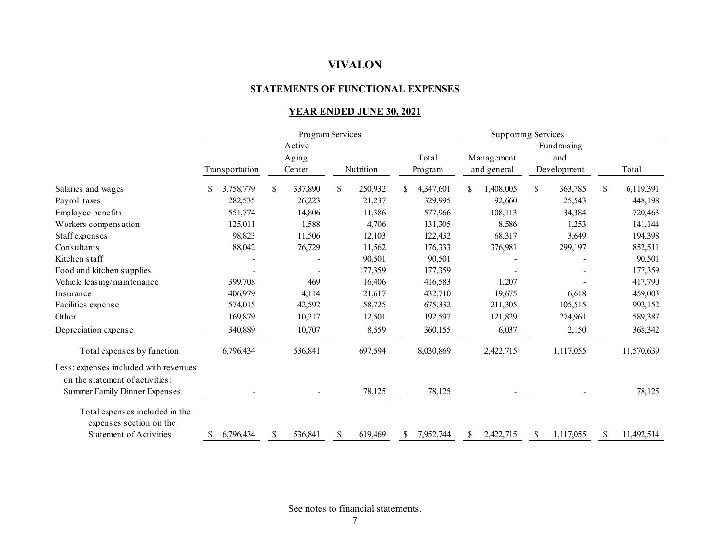#### **STATEMENTS OF FUNCTIONAL EXPENSES**

## **YEAR ENDED JUNE 30, 2021**

|                                                                          |    |                | Program Services |         |    |           |     |           | <b>Supporting Services</b> |             |    |             |    |            |
|--------------------------------------------------------------------------|----|----------------|------------------|---------|----|-----------|-----|-----------|----------------------------|-------------|----|-------------|----|------------|
|                                                                          |    |                |                  | Active  |    |           |     |           | Fundraising                |             |    |             |    |            |
|                                                                          |    |                |                  | Aging   |    |           |     | Total     |                            | Management  |    | and         |    |            |
|                                                                          |    | Transportation |                  | Center  |    | Nutrition |     | Program   |                            | and general |    | Development |    | Total      |
| Salaries and wages                                                       | S. | 3,758,779      | \$               | 337,890 | S. | 250,932   | S.  | 4,347,601 |                            | 1,408,005   | \$ | 363,785     | \$ | 6,119,391  |
| Payroll taxes                                                            |    | 282,535        |                  | 26,223  |    | 21,237    |     | 329,995   |                            | 92,660      |    | 25,543      |    | 448,198    |
| Employee benefits                                                        |    | 551,774        |                  | 14,806  |    | 11,386    |     | 577,966   |                            | 108,113     |    | 34,384      |    | 720,463    |
| Workers compensation                                                     |    | 125,011        |                  | 1,588   |    | 4,706     |     | 131,305   |                            | 8,586       |    | 1,253       |    | 141,144    |
| Staff expenses                                                           |    | 98,823         |                  | 11,506  |    | 12,103    |     | 122,432   |                            | 68,317      |    | 3,649       |    | 194,398    |
| Consultants                                                              |    | 88,042         |                  | 76,729  |    | 11,562    |     | 176,333   |                            | 376,981     |    | 299,197     |    | 852,511    |
| Kitchen staff                                                            |    |                |                  |         |    | 90,501    |     | 90,501    |                            |             |    |             |    | 90,501     |
| Food and kitchen supplies                                                |    |                |                  |         |    | 177,359   |     | 177,359   |                            |             |    |             |    | 177,359    |
| Vehicle leasing/maintenance                                              |    | 399,708        |                  | 469     |    | 16,406    |     | 416,583   |                            | 1,207       |    |             |    | 417,790    |
| Insurance                                                                |    | 406,979        |                  | 4,114   |    | 21,617    |     | 432,710   |                            | 19,675      |    | 6,618       |    | 459,003    |
| Facilities expense                                                       |    | 574,015        |                  | 42,592  |    | 58,725    |     | 675,332   |                            | 211,305     |    | 105,515     |    | 992,152    |
| Other                                                                    |    | 169,879        |                  | 10,217  |    | 12,501    |     | 192,597   |                            | 121,829     |    | 274,961     |    | 589,387    |
| Depreciation expense                                                     |    | 340,889        |                  | 10,707  |    | 8,559     |     | 360,155   |                            | 6,037       |    | 2,150       |    | 368,342    |
| Total expenses by function                                               |    | 6,796,434      |                  | 536,841 |    | 697,594   |     | 8,030,869 |                            | 2,422,715   |    | 1,117,055   |    | 11,570,639 |
| Less: expenses included with revenues<br>on the statement of activities: |    |                |                  |         |    |           |     |           |                            |             |    |             |    |            |
| Summer Family Dinner Expenses                                            |    |                |                  |         |    | 78,125    |     | 78,125    |                            |             |    |             |    | 78,125     |
| Total expenses included in the<br>expenses section on the                |    |                |                  |         |    |           |     |           |                            |             |    |             |    |            |
| <b>Statement of Activities</b>                                           | S. | 6,796,434      | \$               | 536,841 | \$ | 619,469   | \$. | 7,952,744 | \$                         | 2,422,715   | \$ | 1,117,055   | \$ | 11,492,514 |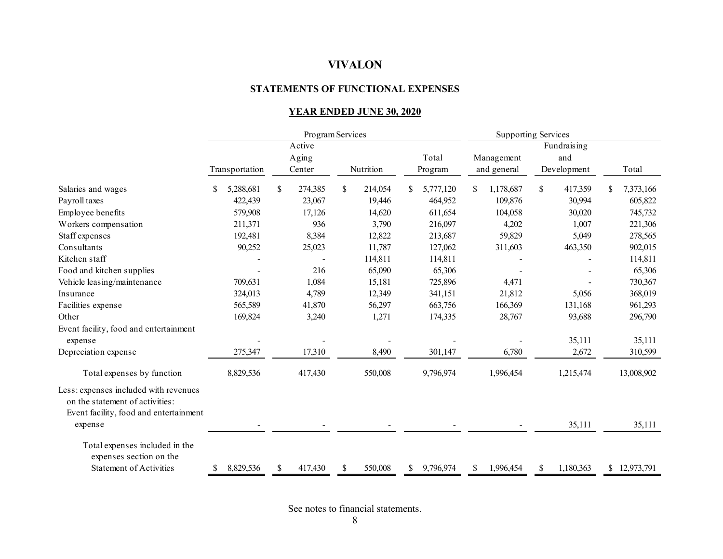#### **STATEMENTS OF FUNCTIONAL EXPENSES**

## **YEAR ENDED JUNE 30, 2020**

|                                                                                                                    | Program Services |    |                 |    |           |               | <b>Supporting Services</b> |     |                           |    |                    |   |              |
|--------------------------------------------------------------------------------------------------------------------|------------------|----|-----------------|----|-----------|---------------|----------------------------|-----|---------------------------|----|--------------------|---|--------------|
|                                                                                                                    |                  |    | Active          |    |           |               |                            |     |                           |    | Fundraising        |   |              |
|                                                                                                                    | Transportation   |    | Aging<br>Center |    | Nutrition |               | Total<br>Program           |     | Management<br>and general |    | and<br>Development |   | Total        |
| Salaries and wages                                                                                                 | 5,288,681        | \$ | 274,385         | \$ | 214,054   |               | 5,777,120                  | S   | 1,178,687                 | \$ | 417,359            | S | 7,373,166    |
| Payroll taxes                                                                                                      | 422,439          |    | 23,067          |    | 19,446    |               | 464,952                    |     | 109,876                   |    | 30,994             |   | 605,822      |
| Employee benefits                                                                                                  | 579,908          |    | 17,126          |    | 14,620    |               | 611,654                    |     | 104,058                   |    | 30,020             |   | 745,732      |
| Workers compensation                                                                                               | 211,371          |    | 936             |    | 3,790     |               | 216,097                    |     | 4,202                     |    | 1,007              |   | 221,306      |
| Staff expenses                                                                                                     | 192,481          |    | 8,384           |    | 12,822    |               | 213,687                    |     | 59,829                    |    | 5,049              |   | 278,565      |
| Consultants                                                                                                        | 90,252           |    | 25,023          |    | 11,787    |               | 127,062                    |     | 311,603                   |    | 463,350            |   | 902,015      |
| Kitchen staff                                                                                                      |                  |    |                 |    | 114,811   |               | 114,811                    |     |                           |    |                    |   | 114,811      |
| Food and kitchen supplies                                                                                          |                  |    | 216             |    | 65,090    |               | 65,306                     |     |                           |    |                    |   | 65,306       |
| Vehicle leasing/maintenance                                                                                        | 709,631          |    | 1,084           |    | 15,181    |               | 725,896                    |     | 4,471                     |    |                    |   | 730,367      |
| Insurance                                                                                                          | 324,013          |    | 4,789           |    | 12,349    |               | 341,151                    |     | 21,812                    |    | 5,056              |   | 368,019      |
| Facilities expense                                                                                                 | 565,589          |    | 41,870          |    | 56,297    |               | 663,756                    |     | 166,369                   |    | 131,168            |   | 961,293      |
| Other                                                                                                              | 169,824          |    | 3,240           |    | 1,271     |               | 174,335                    |     | 28,767                    |    | 93,688             |   | 296,790      |
| Event facility, food and entertainment                                                                             |                  |    |                 |    |           |               |                            |     |                           |    |                    |   |              |
| expense                                                                                                            |                  |    |                 |    |           |               |                            |     |                           |    | 35,111             |   | 35,111       |
| Depreciation expense                                                                                               | 275,347          |    | 17,310          |    | 8,490     |               | 301,147                    |     | 6,780                     |    | 2,672              |   | 310,599      |
| Total expenses by function                                                                                         | 8,829,536        |    | 417,430         |    | 550,008   |               | 9,796,974                  |     | 1,996,454                 |    | 1,215,474          |   | 13,008,902   |
| Less: expenses included with revenues<br>on the statement of activities:<br>Event facility, food and entertainment |                  |    |                 |    |           |               |                            |     |                           |    |                    |   |              |
| expense                                                                                                            |                  |    |                 |    |           |               |                            |     |                           |    | 35,111             |   | 35,111       |
| Total expenses included in the<br>expenses section on the                                                          |                  |    |                 |    |           |               |                            |     |                           |    |                    |   |              |
| <b>Statement of Activities</b>                                                                                     | 8,829,536<br>\$  | S. | 417,430         | \$ | 550,008   | <sup>\$</sup> | 9,796,974                  | \$. | 1,996,454                 | S  | 1,180,363          |   | \$12,973,791 |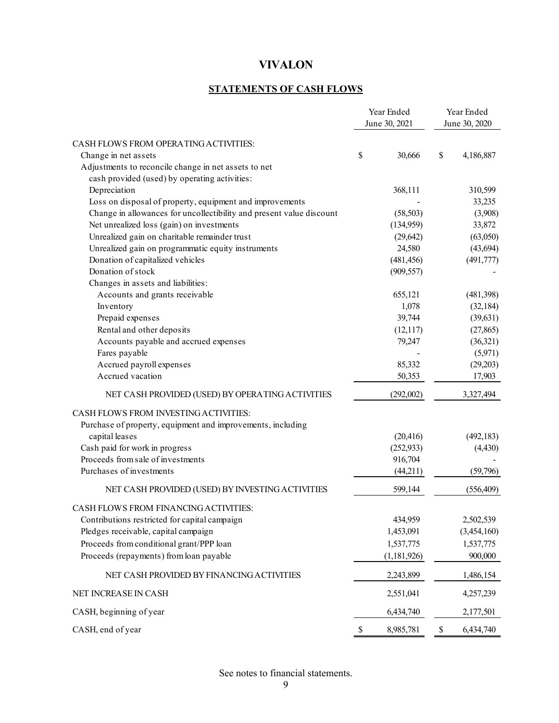## **STATEMENTS OF CASH FLOWS**

|                                                                      | Year Ended |               | Year Ended |               |  |
|----------------------------------------------------------------------|------------|---------------|------------|---------------|--|
|                                                                      |            | June 30, 2021 |            | June 30, 2020 |  |
| CASH FLOWS FROM OPERATING ACTIVITIES:                                |            |               |            |               |  |
| Change in net assets                                                 | \$         | 30,666        | \$         | 4,186,887     |  |
| Adjustments to reconcile change in net assets to net                 |            |               |            |               |  |
| cash provided (used) by operating activities:                        |            |               |            |               |  |
| Depreciation                                                         |            | 368,111       |            | 310,599       |  |
| Loss on disposal of property, equipment and improvements             |            |               |            | 33,235        |  |
| Change in allowances for uncollectibility and present value discount |            | (58, 503)     |            | (3,908)       |  |
| Net unrealized loss (gain) on investments                            |            | (134,959)     |            | 33,872        |  |
| Unrealized gain on charitable remainder trust                        |            | (29, 642)     |            | (63,050)      |  |
| Unrealized gain on programmatic equity instruments                   |            | 24,580        |            | (43, 694)     |  |
| Donation of capitalized vehicles                                     |            | (481, 456)    |            | (491, 777)    |  |
| Donation of stock                                                    |            | (909, 557)    |            |               |  |
| Changes in assets and liabilities:                                   |            |               |            |               |  |
| Accounts and grants receivable                                       |            | 655,121       |            | (481,398)     |  |
| Inventory                                                            |            | 1,078         |            | (32, 184)     |  |
| Prepaid expenses                                                     |            | 39,744        |            | (39, 631)     |  |
| Rental and other deposits                                            |            | (12,117)      |            | (27, 865)     |  |
| Accounts payable and accrued expenses                                |            | 79,247        |            | (36,321)      |  |
| Fares payable                                                        |            |               |            | (5,971)       |  |
| Accrued payroll expenses                                             |            | 85,332        |            | (29,203)      |  |
| Accrued vacation                                                     |            | 50,353        |            | 17,903        |  |
| NET CASH PROVIDED (USED) BY OPERATING ACTIVITIES                     |            | (292,002)     |            | 3,327,494     |  |
| CASH FLOWS FROM INVESTING ACTIVITIES:                                |            |               |            |               |  |
| Purchase of property, equipment and improvements, including          |            |               |            |               |  |
| capital leases                                                       |            | (20, 416)     |            | (492, 183)    |  |
| Cash paid for work in progress                                       |            | (252, 933)    |            | (4, 430)      |  |
| Proceeds from sale of investments                                    |            | 916,704       |            |               |  |
| Purchases of investments                                             |            | (44,211)      |            | (59,796)      |  |
| NET CASH PROVIDED (USED) BY INVESTING ACTIVITIES                     |            | 599,144       |            | (556, 409)    |  |
| CASH FLOWS FROM FINANCING ACTIVITIES:                                |            |               |            |               |  |
| Contributions restricted for capital campaign                        |            | 434,959       |            | 2,502,539     |  |
| Pledges receivable, capital campaign                                 |            | 1,453,091     |            | (3,454,160)   |  |
| Proceeds from conditional grant/PPP loan                             |            | 1,537,775     |            | 1,537,775     |  |
| Proceeds (repayments) from loan payable                              |            | (1,181,926)   |            | 900,000       |  |
| NET CASH PROVIDED BY FINANCING ACTIVITIES                            |            | 2,243,899     |            | 1,486,154     |  |
| NET INCREASE IN CASH                                                 |            | 2,551,041     |            | 4,257,239     |  |
| CASH, beginning of year                                              |            | 6,434,740     |            | 2,177,501     |  |
| CASH, end of year                                                    | \$         | 8,985,781     | \$         | 6,434,740     |  |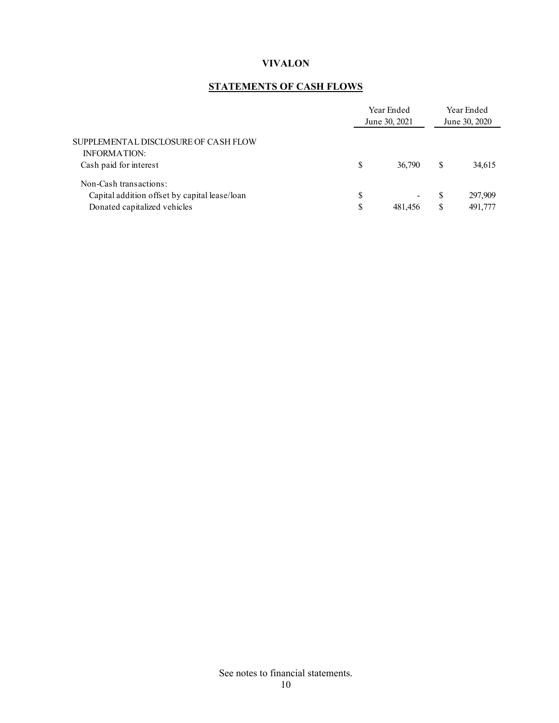## **STATEMENTS OF CASH FLOWS**

|                                                             |    | Year Ended<br>June 30, 2021 |     |         |
|-------------------------------------------------------------|----|-----------------------------|-----|---------|
| SUPPLEMENTAL DISCLOSURE OF CASH FLOW<br><b>INFORMATION:</b> |    |                             |     |         |
| Cash paid for interest                                      | S  | 36,790                      | S   | 34,615  |
| Non-Cash transactions:                                      |    |                             |     |         |
| Capital addition offset by capital lease/loan               | \$ | $\blacksquare$              | \$. | 297,909 |
| Donated capitalized vehicles                                | \$ | 481.456                     | S   | 491,777 |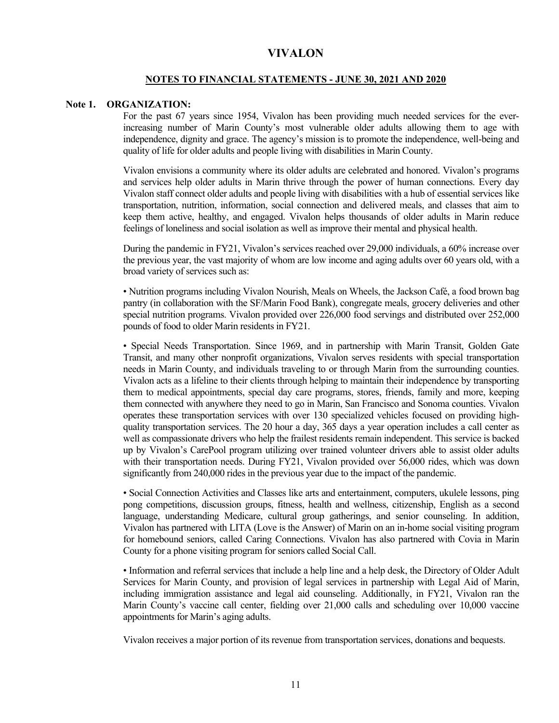#### **NOTES TO FINANCIAL STATEMENTS - JUNE 30, 2021 AND 2020**

### **Note 1. ORGANIZATION:**

For the past 67 years since 1954, Vivalon has been providing much needed services for the everincreasing number of Marin County's most vulnerable older adults allowing them to age with independence, dignity and grace. The agency's mission is to promote the independence, well-being and quality of life for older adults and people living with disabilities in Marin County.

Vivalon envisions a community where its older adults are celebrated and honored. Vivalon's programs and services help older adults in Marin thrive through the power of human connections. Every day Vivalon staff connect older adults and people living with disabilities with a hub of essential services like transportation, nutrition, information, social connection and delivered meals, and classes that aim to keep them active, healthy, and engaged. Vivalon helps thousands of older adults in Marin reduce feelings of loneliness and social isolation as well as improve their mental and physical health.

During the pandemic in FY21, Vivalon's services reached over 29,000 individuals, a 60% increase over the previous year, the vast majority of whom are low income and aging adults over 60 years old, with a broad variety of services such as:

• Nutrition programs including Vivalon Nourish, Meals on Wheels, the Jackson Café, a food brown bag pantry (in collaboration with the SF/Marin Food Bank), congregate meals, grocery deliveries and other special nutrition programs. Vivalon provided over 226,000 food servings and distributed over 252,000 pounds of food to older Marin residents in FY21.

• Special Needs Transportation. Since 1969, and in partnership with Marin Transit, Golden Gate Transit, and many other nonprofit organizations, Vivalon serves residents with special transportation needs in Marin County, and individuals traveling to or through Marin from the surrounding counties. Vivalon acts as a lifeline to their clients through helping to maintain their independence by transporting them to medical appointments, special day care programs, stores, friends, family and more, keeping them connected with anywhere they need to go in Marin, San Francisco and Sonoma counties. Vivalon operates these transportation services with over 130 specialized vehicles focused on providing highquality transportation services. The 20 hour a day, 365 days a year operation includes a call center as well as compassionate drivers who help the frailest residents remain independent. This service is backed up by Vivalon's CarePool program utilizing over trained volunteer drivers able to assist older adults with their transportation needs. During FY21, Vivalon provided over 56,000 rides, which was down significantly from 240,000 rides in the previous year due to the impact of the pandemic.

• Social Connection Activities and Classes like arts and entertainment, computers, ukulele lessons, ping pong competitions, discussion groups, fitness, health and wellness, citizenship, English as a second language, understanding Medicare, cultural group gatherings, and senior counseling. In addition, Vivalon has partnered with LITA (Love is the Answer) of Marin on an in-home social visiting program for homebound seniors, called Caring Connections. Vivalon has also partnered with Covia in Marin County for a phone visiting program for seniors called Social Call.

• Information and referral services that include a help line and a help desk, the Directory of Older Adult Services for Marin County, and provision of legal services in partnership with Legal Aid of Marin, including immigration assistance and legal aid counseling. Additionally, in FY21, Vivalon ran the Marin County's vaccine call center, fielding over 21,000 calls and scheduling over 10,000 vaccine appointments for Marin's aging adults.

Vivalon receives a major portion of its revenue from transportation services, donations and bequests.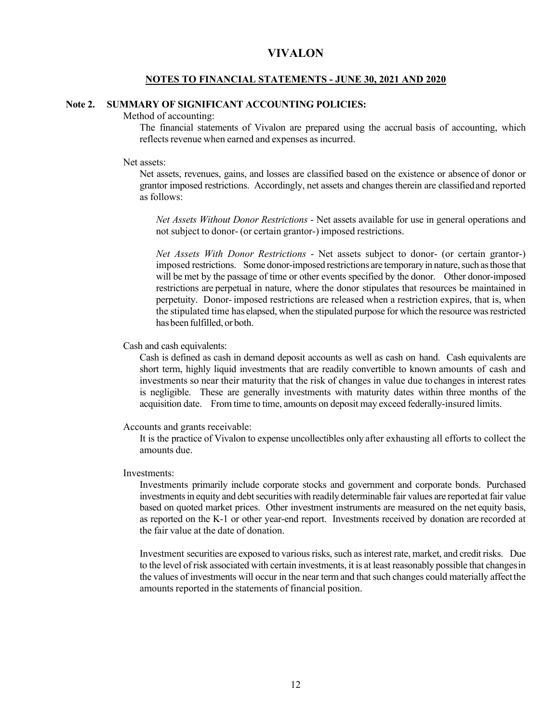#### **NOTES TO FINANCIAL STATEMENTS - JUNE 30, 2021 AND 2020**

## **Note 2. SUMMARY OF SIGNIFICANT ACCOUNTING POLICIES:**

Method of accounting:

The financial statements of Vivalon are prepared using the accrual basis of accounting, which reflects revenue when earned and expenses as incurred.

#### Net assets:

Net assets, revenues, gains, and losses are classified based on the existence or absence of donor or grantor imposed restrictions. Accordingly, net assets and changes therein are classified and reported as follows:

*Net Assets Without Donor Restrictions* - Net assets available for use in general operations and not subject to donor- (or certain grantor-) imposed restrictions.

*Net Assets With Donor Restrictions* - Net assets subject to donor- (or certain grantor-) imposed restrictions. Some donor-imposed restrictions are temporary in nature, such as those that will be met by the passage of time or other events specified by the donor. Other donor-imposed restrictions are perpetual in nature, where the donor stipulates that resources be maintained in perpetuity. Donor- imposed restrictions are released when a restriction expires, that is, when the stipulated time has elapsed, when the stipulated purpose for which the resource was restricted has been fulfilled, or both.

Cash and cash equivalents:

Cash is defined as cash in demand deposit accounts as well as cash on hand. Cash equivalents are short term, highly liquid investments that are readily convertible to known amounts of cash and investments so near their maturity that the risk of changes in value due to changes in interest rates is negligible. These are generally investments with maturity dates within three months of the acquisition date. From time to time, amounts on deposit may exceed federally-insured limits.

Accounts and grants receivable:

It is the practice of Vivalon to expense uncollectibles only after exhausting all efforts to collect the amounts due.

Investments:

Investments primarily include corporate stocks and government and corporate bonds. Purchased investments in equity and debt securities with readily determinable fair values are reported at fair value based on quoted market prices. Other investment instruments are measured on the net equity basis, as reported on the K-1 or other year-end report. Investments received by donation are recorded at the fair value at the date of donation.

Investment securities are exposed to various risks, such as interest rate, market, and credit risks. Due to the level of risk associated with certain investments, it is at least reasonably possible that changes in the values of investments will occur in the near term and that such changes could materially affect the amounts reported in the statements of financial position.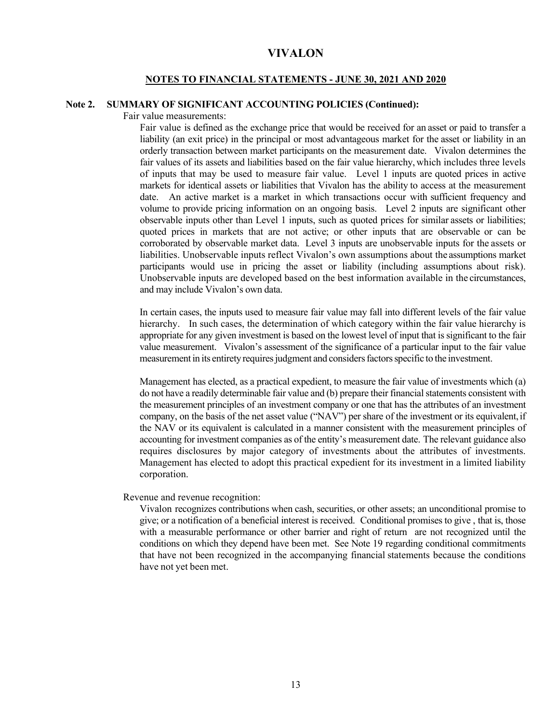#### **NOTES TO FINANCIAL STATEMENTS - JUNE 30, 2021 AND 2020**

## **Note 2. SUMMARY OF SIGNIFICANT ACCOUNTING POLICIES (Continued):**

Fair value measurements:

Fair value is defined as the exchange price that would be received for an asset or paid to transfer a liability (an exit price) in the principal or most advantageous market for the asset or liability in an orderly transaction between market participants on the measurement date. Vivalon determines the fair values of its assets and liabilities based on the fair value hierarchy, which includes three levels of inputs that may be used to measure fair value. Level 1 inputs are quoted prices in active markets for identical assets or liabilities that Vivalon has the ability to access at the measurement date. An active market is a market in which transactions occur with sufficient frequency and volume to provide pricing information on an ongoing basis. Level 2 inputs are significant other observable inputs other than Level 1 inputs, such as quoted prices for similar assets or liabilities; quoted prices in markets that are not active; or other inputs that are observable or can be corroborated by observable market data. Level 3 inputs are unobservable inputs for the assets or liabilities. Unobservable inputs reflect Vivalon's own assumptions about the assumptions market participants would use in pricing the asset or liability (including assumptions about risk). Unobservable inputs are developed based on the best information available in the circumstances, and may include Vivalon's own data.

In certain cases, the inputs used to measure fair value may fall into different levels of the fair value hierarchy. In such cases, the determination of which category within the fair value hierarchy is appropriate for any given investment is based on the lowest level of input that is significant to the fair value measurement. Vivalon's assessment of the significance of a particular input to the fair value measurement in its entirety requires judgment and considers factors specific to the investment.

Management has elected, as a practical expedient, to measure the fair value of investments which (a) do not have a readily determinable fair value and (b) prepare their financial statements consistent with the measurement principles of an investment company or one that has the attributes of an investment company, on the basis of the net asset value ("NAV") per share of the investment or its equivalent, if the NAV or its equivalent is calculated in a manner consistent with the measurement principles of accounting for investment companies as of the entity's measurement date. The relevant guidance also requires disclosures by major category of investments about the attributes of investments. Management has elected to adopt this practical expedient for its investment in a limited liability corporation.

Revenue and revenue recognition:

Vivalon recognizes contributions when cash, securities, or other assets; an unconditional promise to give; or a notification of a beneficial interest is received. Conditional promises to give , that is, those with a measurable performance or other barrier and right of return are not recognized until the conditions on which they depend have been met. See Note 19 regarding conditional commitments that have not been recognized in the accompanying financial statements because the conditions have not yet been met.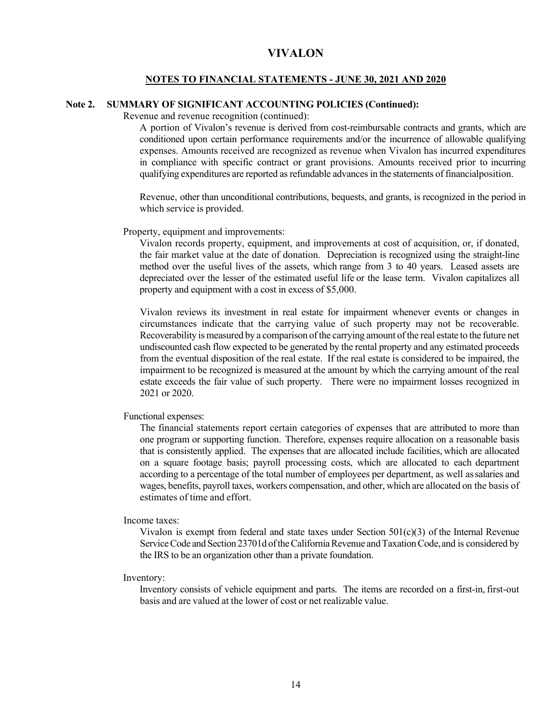#### **NOTES TO FINANCIAL STATEMENTS - JUNE 30, 2021 AND 2020**

## **Note 2. SUMMARY OF SIGNIFICANT ACCOUNTING POLICIES (Continued):**

Revenue and revenue recognition (continued):

A portion of Vivalon's revenue is derived from cost-reimbursable contracts and grants, which are conditioned upon certain performance requirements and/or the incurrence of allowable qualifying expenses. Amounts received are recognized as revenue when Vivalon has incurred expenditures in compliance with specific contract or grant provisions. Amounts received prior to incurring qualifying expenditures are reported as refundable advances in the statements of financial position.

Revenue, other than unconditional contributions, bequests, and grants, is recognized in the period in which service is provided.

Property, equipment and improvements:

Vivalon records property, equipment, and improvements at cost of acquisition, or, if donated, the fair market value at the date of donation. Depreciation is recognized using the straight-line method over the useful lives of the assets, which range from 3 to 40 years. Leased assets are depreciated over the lesser of the estimated useful life or the lease term. Vivalon capitalizes all property and equipment with a cost in excess of \$5,000.

Vivalon reviews its investment in real estate for impairment whenever events or changes in circumstances indicate that the carrying value of such property may not be recoverable. Recoverability is measured by a comparison of the carrying amount of the real estate to the future net undiscounted cash flow expected to be generated by the rental property and any estimated proceeds from the eventual disposition of the real estate. If the real estate is considered to be impaired, the impairment to be recognized is measured at the amount by which the carrying amount of the real estate exceeds the fair value of such property. There were no impairment losses recognized in 2021 or 2020.

Functional expenses:

The financial statements report certain categories of expenses that are attributed to more than one program or supporting function. Therefore, expenses require allocation on a reasonable basis that is consistently applied. The expenses that are allocated include facilities, which are allocated on a square footage basis; payroll processing costs, which are allocated to each department according to a percentage of the total number of employees per department, as well as salaries and wages, benefits, payroll taxes, workers compensation, and other, which are allocated on the basis of estimates of time and effort.

Income taxes:

Vivalon is exempt from federal and state taxes under Section  $501(c)(3)$  of the Internal Revenue Service Code and Section 23701d of the California Revenue and Taxation Code, and is considered by the IRS to be an organization other than a private foundation.

Inventory:

Inventory consists of vehicle equipment and parts. The items are recorded on a first-in, first-out basis and are valued at the lower of cost or net realizable value.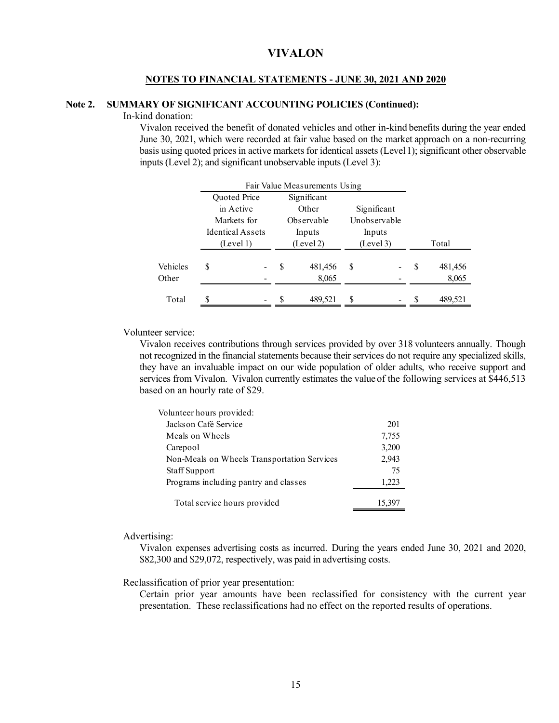#### **NOTES TO FINANCIAL STATEMENTS - JUNE 30, 2021 AND 2020**

### **Note 2. SUMMARY OF SIGNIFICANT ACCOUNTING POLICIES (Continued):**

In-kind donation:

Vivalon received the benefit of donated vehicles and other in-kind benefits during the year ended June 30, 2021, which were recorded at fair value based on the market approach on a non-recurring basis using quoted prices in active markets for identical assets (Level 1); significant other observable inputs (Level 2); and significant unobservable inputs (Level 3):

|          | Fair Value Measurements Using |        |           |             |        |                          |    |         |
|----------|-------------------------------|--------|-----------|-------------|--------|--------------------------|----|---------|
|          | Quoted Price                  |        |           | Significant |        |                          |    |         |
|          | in Active                     |        |           | Other       |        | Significant              |    |         |
|          | Markets for                   |        |           | Observable  |        | Unobservable             |    |         |
|          | <b>Identical Assets</b>       | Inputs |           |             | Inputs |                          |    |         |
|          | (Level 1)                     |        | (Level 2) |             |        | (Level 3)                |    | Total   |
| Vehicles | \$                            |        | S         | 481,456     | S      |                          | S  | 481,456 |
| Other    |                               |        |           | 8,065       |        |                          |    | 8,065   |
| Total    |                               |        | \$        | 489,521     | \$     | $\overline{\phantom{a}}$ | -S | 489,521 |

Volunteer service:

Vivalon receives contributions through services provided by over 318 volunteers annually. Though not recognized in the financial statements because their services do not require any specialized skills, they have an invaluable impact on our wide population of older adults, who receive support and services from Vivalon. Vivalon currently estimates the value of the following services at \$446,513 based on an hourly rate of \$29.

| Volunteer hours provided:                   |        |
|---------------------------------------------|--------|
| Jackson Café Service                        | 201    |
| Meals on Wheels                             | 7,755  |
| Carepool                                    | 3,200  |
| Non-Meals on Wheels Transportation Services | 2,943  |
| <b>Staff Support</b>                        | 75     |
| Programs including pantry and classes       | 1,223  |
| Total service hours provided                | 15,397 |

#### Advertising:

Vivalon expenses advertising costs as incurred. During the years ended June 30, 2021 and 2020, \$82,300 and \$29,072, respectively, was paid in advertising costs.

Reclassification of prior year presentation:

Certain prior year amounts have been reclassified for consistency with the current year presentation. These reclassifications had no effect on the reported results of operations.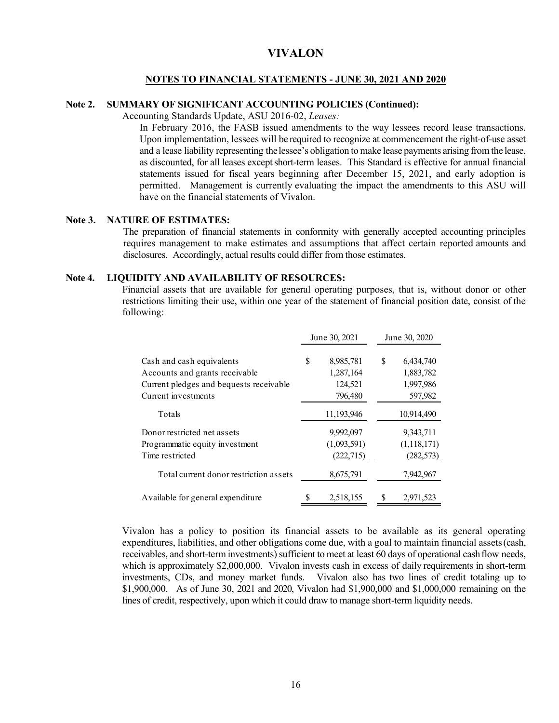#### **NOTES TO FINANCIAL STATEMENTS - JUNE 30, 2021 AND 2020**

## **Note 2. SUMMARY OF SIGNIFICANT ACCOUNTING POLICIES (Continued):**

Accounting Standards Update, ASU 2016-02, *Leases:* 

In February 2016, the FASB issued amendments to the way lessees record lease transactions. Upon implementation, lessees will be required to recognize at commencement the right-of-use asset and a lease liability representing the lessee's obligation to make lease payments arising from the lease, as discounted, for all leases except short-term leases. This Standard is effective for annual financial statements issued for fiscal years beginning after December 15, 2021, and early adoption is permitted. Management is currently evaluating the impact the amendments to this ASU will have on the financial statements of Vivalon.

#### **Note 3. NATURE OF ESTIMATES:**

The preparation of financial statements in conformity with generally accepted accounting principles requires management to make estimates and assumptions that affect certain reported amounts and disclosures. Accordingly, actual results could differ from those estimates.

#### **Note 4. LIQUIDITY AND AVAILABILITY OF RESOURCES:**

Financial assets that are available for general operating purposes, that is, without donor or other restrictions limiting their use, within one year of the statement of financial position date, consist of the following:

|                                         |    | June 30, 2021 |    | June 30, 2020 |
|-----------------------------------------|----|---------------|----|---------------|
| Cash and cash equivalents               | \$ | 8,985,781     | \$ | 6,434,740     |
| Accounts and grants receivable          |    | 1,287,164     |    | 1,883,782     |
| Current pledges and bequests receivable |    | 124,521       |    | 1,997,986     |
| Current investments                     |    | 796,480       |    | 597,982       |
| Totals                                  |    | 11,193,946    |    | 10,914,490    |
| Donor restricted net assets             |    | 9,992,097     |    | 9,343,711     |
| Programmatic equity investment          |    | (1,093,591)   |    | (1, 118, 171) |
| Time restricted                         |    | (222, 715)    |    | (282, 573)    |
| Total current donor restriction assets  |    | 8,675,791     |    | 7,942,967     |
| Available for general expenditure       | S  | 2,518,155     | S  | 2,971,523     |

Vivalon has a policy to position its financial assets to be available as its general operating expenditures, liabilities, and other obligations come due, with a goal to maintain financial assets (cash, receivables, and short-term investments) sufficient to meet at least 60 days of operational cash flow needs, which is approximately \$2,000,000. Vivalon invests cash in excess of daily requirements in short-term investments, CDs, and money market funds. Vivalon also has two lines of credit totaling up to \$1,900,000. As of June 30, 2021 and 2020, Vivalon had \$1,900,000 and \$1,000,000 remaining on the lines of credit, respectively, upon which it could draw to manage short-term liquidity needs.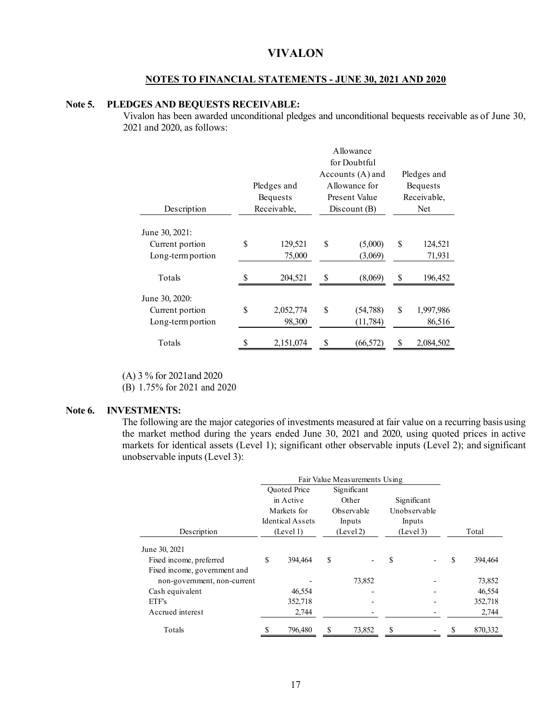## **NOTES TO FINANCIAL STATEMENTS - JUNE 30, 2021 AND 2020**

## **Note 5. PLEDGES AND BEQUESTS RECEIVABLE:**

Vivalon has been awarded unconditional pledges and unconditional bequests receivable as of June 30, 2021 and 2020, as follows:

|                                                        | Allowance               |             |                    |             |                   |  |  |  |  |  |
|--------------------------------------------------------|-------------------------|-------------|--------------------|-------------|-------------------|--|--|--|--|--|
|                                                        |                         |             | for Doubtful       |             |                   |  |  |  |  |  |
|                                                        |                         |             | Accounts (A) and   |             | Pledges and       |  |  |  |  |  |
|                                                        | Pledges and             |             | <b>Bequests</b>    |             |                   |  |  |  |  |  |
|                                                        | <b>Bequests</b>         |             | Present Value      | Receivable, |                   |  |  |  |  |  |
| Description                                            | Receivable,             | Discount(B) |                    |             | Net               |  |  |  |  |  |
| June 30, 2021:<br>Current portion<br>Long-term portion | \$<br>129,521<br>75,000 | \$          | (5,000)<br>(3,069) | S           | 124,521<br>71,931 |  |  |  |  |  |
|                                                        |                         |             |                    |             |                   |  |  |  |  |  |
| Totals                                                 | 204,521                 | S           | (8,069)            | \$          | 196,452           |  |  |  |  |  |
| June 30, 2020:                                         |                         |             |                    |             |                   |  |  |  |  |  |
| Current portion                                        | \$<br>2,052,774         | \$          | (54,788)           | S           | 1,997,986         |  |  |  |  |  |
| Long-term portion                                      | 98,300                  |             | (11, 784)          |             | 86,516            |  |  |  |  |  |
| Totals                                                 | 2,151,074               | \$          | (66, 572)          | \$          | 2,084,502         |  |  |  |  |  |

(A) 3 % for 2021and 2020

(B) 1.75% for 2021 and 2020

#### **Note 6. INVESTMENTS:**

The following are the major categories of investments measured at fair value on a recurring basis using the market method during the years ended June 30, 2021 and 2020, using quoted prices in active markets for identical assets (Level 1); significant other observable inputs (Level 2); and significant unobservable inputs (Level 3):

|                              | Fair Value Measurements Using                       |                                  |                                   |                      |                                     |             |   |         |
|------------------------------|-----------------------------------------------------|----------------------------------|-----------------------------------|----------------------|-------------------------------------|-------------|---|---------|
|                              |                                                     | <b>Ouoted Price</b><br>in Active |                                   | Significant<br>Other |                                     | Significant |   |         |
|                              | Markets for<br><b>Identical Assets</b><br>(Level 1) |                                  | Observable<br>Inputs<br>(Level 2) |                      | Unobservable<br>Inputs<br>(Level 3) |             |   |         |
| Description                  |                                                     |                                  |                                   |                      |                                     |             |   | Total   |
| June 30, 2021                |                                                     |                                  |                                   |                      |                                     |             |   |         |
| Fixed income, preferred      | \$                                                  | 394,464                          | S                                 |                      | S                                   |             | S | 394,464 |
| Fixed income, government and |                                                     |                                  |                                   |                      |                                     |             |   |         |
| non-government, non-current  |                                                     |                                  |                                   | 73,852               |                                     |             |   | 73,852  |
| Cash equivalent              |                                                     | 46,554                           |                                   |                      |                                     |             |   | 46,554  |
| ETF's                        |                                                     | 352,718                          |                                   |                      |                                     |             |   | 352,718 |
| Accrued interest             |                                                     | 2,744                            |                                   |                      |                                     |             |   | 2,744   |
| Totals                       |                                                     | 796,480                          |                                   | 73,852               |                                     |             |   | 870,332 |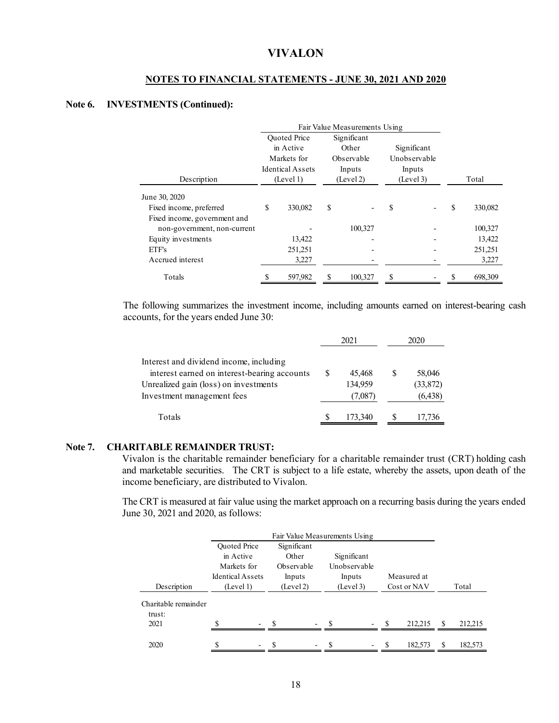## **NOTES TO FINANCIAL STATEMENTS - JUNE 30, 2021 AND 2020**

## **Note 6. INVESTMENTS (Continued):**

|                              | Fair Value Measurements Using |                                    |    |            |        |              |   |         |
|------------------------------|-------------------------------|------------------------------------|----|------------|--------|--------------|---|---------|
|                              |                               | <b>Ouoted Price</b><br>Significant |    |            |        |              |   |         |
|                              |                               | in Active                          |    | Other      |        | Significant  |   |         |
|                              |                               | Markets for                        |    | Observable |        | Unobservable |   |         |
|                              |                               | <b>Identical Assets</b>            |    | Inputs     | Inputs |              |   |         |
| Description                  |                               | (Level 1)                          |    | (Level 2)  |        | (Level 3)    |   | Total   |
| June 30, 2020                |                               |                                    |    |            |        |              |   |         |
| Fixed income, preferred      | S                             | 330,082                            | \$ |            | S      |              | S | 330,082 |
| Fixed income, government and |                               |                                    |    |            |        |              |   |         |
| non-government, non-current  |                               |                                    |    | 100,327    |        |              |   | 100,327 |
| Equity investments           |                               | 13,422                             |    |            |        |              |   | 13,422  |
| ETF's                        |                               | 251,251                            |    |            |        |              |   | 251,251 |
| Accrued interest             |                               | 3,227                              |    |            |        |              |   | 3,227   |
| Totals                       |                               | 597,982                            |    | 100,327    |        |              |   | 698,309 |

The following summarizes the investment income, including amounts earned on interest-bearing cash accounts, for the years ended June 30:

|                                              |     | 2021    |   | 2020     |  |
|----------------------------------------------|-----|---------|---|----------|--|
| Interest and dividend income, including      |     |         |   |          |  |
| interest earned on interest-bearing accounts | \$. | 45,468  | S | 58,046   |  |
| Unrealized gain (loss) on investments        |     | 134,959 |   | (33,872) |  |
| Investment management fees                   |     | (7,087) |   | (6, 438) |  |
| Totals                                       |     | 173,340 |   | 17,736   |  |

## **Note 7. CHARITABLE REMAINDER TRUST:**

Vivalon is the charitable remainder beneficiary for a charitable remainder trust (CRT) holding cash and marketable securities. The CRT is subject to a life estate, whereby the assets, upon death of the income beneficiary, are distributed to Vivalon.

The CRT is measured at fair value using the market approach on a recurring basis during the years ended June 30, 2021 and 2020, as follows:

|                                | Fair Value Measurements Using |             |  |              |  |        |             |    |         |
|--------------------------------|-------------------------------|-------------|--|--------------|--|--------|-------------|----|---------|
|                                | <b>Ouoted Price</b>           | Significant |  |              |  |        |             |    |         |
|                                | in Active                     | Other       |  | Significant  |  |        |             |    |         |
|                                | Markets for                   | Observable  |  | Unobservable |  |        |             |    |         |
|                                | <b>Identical Assets</b>       | Inputs      |  | Inputs       |  |        | Measured at |    |         |
| Description                    | (Level 1)                     | (Level 2)   |  | (Level 3)    |  |        | Cost or NAV |    | Total   |
| Charitable remainder<br>trust: |                               |             |  |              |  |        |             |    |         |
| 2021                           | ¢                             | S           |  | \$.          |  | $-$ \$ | 212.215     | -S | 212.215 |
|                                |                               |             |  |              |  |        |             |    |         |
| 2020                           |                               |             |  |              |  |        | 182,573     |    | 182,573 |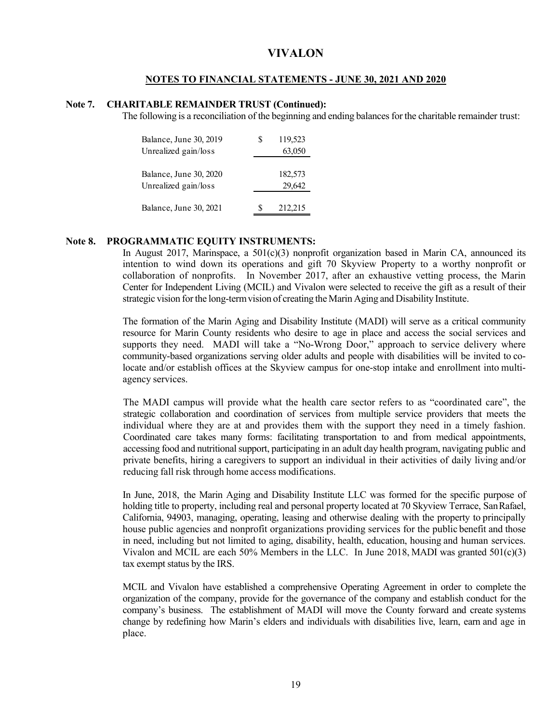### **NOTES TO FINANCIAL STATEMENTS - JUNE 30, 2021 AND 2020**

## **Note 7. CHARITABLE REMAINDER TRUST (Continued):**

The following is a reconciliation of the beginning and ending balances for the charitable remainder trust:

| Balance, June 30, 2019<br>Unrealized gain/loss | 119,523<br>S<br>63,050 |
|------------------------------------------------|------------------------|
| Balance, June 30, 2020<br>Unrealized gain/loss | 182,573<br>29,642      |
| Balance, June 30, 2021                         | 212,215<br>S           |

## **Note 8. PROGRAMMATIC EQUITY INSTRUMENTS:**

In August 2017, Marinspace, a  $501(c)(3)$  nonprofit organization based in Marin CA, announced its intention to wind down its operations and gift 70 Skyview Property to a worthy nonprofit or collaboration of nonprofits. In November 2017, after an exhaustive vetting process, the Marin Center for Independent Living (MCIL) and Vivalon were selected to receive the gift as a result of their strategic vision for the long-term vision of creating the Marin Aging and Disability Institute.

The formation of the Marin Aging and Disability Institute (MADI) will serve as a critical community resource for Marin County residents who desire to age in place and access the social services and supports they need. MADI will take a "No-Wrong Door," approach to service delivery where community-based organizations serving older adults and people with disabilities will be invited to colocate and/or establish offices at the Skyview campus for one-stop intake and enrollment into multiagency services.

The MADI campus will provide what the health care sector refers to as "coordinated care", the strategic collaboration and coordination of services from multiple service providers that meets the individual where they are at and provides them with the support they need in a timely fashion. Coordinated care takes many forms: facilitating transportation to and from medical appointments, accessing food and nutritional support, participating in an adult day health program, navigating public and private benefits, hiring a caregivers to support an individual in their activities of daily living and/or reducing fall risk through home access modifications.

In June, 2018, the Marin Aging and Disability Institute LLC was formed for the specific purpose of holding title to property, including real and personal property located at 70 Skyview Terrace, San Rafael, California, 94903, managing, operating, leasing and otherwise dealing with the property to principally house public agencies and nonprofit organizations providing services for the public benefit and those in need, including but not limited to aging, disability, health, education, housing and human services. Vivalon and MCIL are each 50% Members in the LLC. In June 2018, MADI was granted 501(c)(3) tax exempt status by the IRS.

MCIL and Vivalon have established a comprehensive Operating Agreement in order to complete the organization of the company, provide for the governance of the company and establish conduct for the company's business. The establishment of MADI will move the County forward and create systems change by redefining how Marin's elders and individuals with disabilities live, learn, earn and age in place.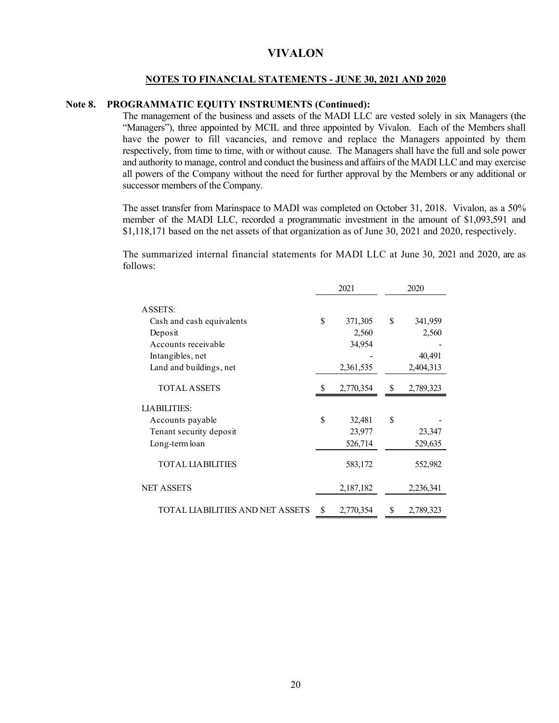### **NOTES TO FINANCIAL STATEMENTS - JUNE 30, 2021 AND 2020**

## **Note 8. PROGRAMMATIC EQUITY INSTRUMENTS (Continued):**

The management of the business and assets of the MADI LLC are vested solely in six Managers (the "Managers"), three appointed by MCIL and three appointed by Vivalon. Each of the Members shall have the power to fill vacancies, and remove and replace the Managers appointed by them respectively, from time to time, with or without cause. The Managers shall have the full and sole power and authority to manage, control and conduct the business and affairs of the MADI LLC and may exercise all powers of the Company without the need for further approval by the Members or any additional or successor members of the Company.

The asset transfer from Marinspace to MADI was completed on October 31, 2018. Vivalon, as a 50% member of the MADI LLC, recorded a programmatic investment in the amount of \$1,093,591 and \$1,118,171 based on the net assets of that organization as of June 30, 2021 and 2020, respectively.

The summarized internal financial statements for MADI LLC at June 30, 2021 and 2020, are as follows:

|                                         | 2021 |           | 2020 |           |
|-----------------------------------------|------|-----------|------|-----------|
| ASSETS:                                 |      |           |      |           |
| Cash and cash equivalents               | \$   | 371,305   | S    | 341,959   |
| Deposit                                 |      | 2,560     |      | 2,560     |
| Accounts receivable                     |      | 34,954    |      |           |
| Intangibles, net                        |      |           |      | 40,491    |
| Land and buildings, net                 |      | 2,361,535 |      | 2,404,313 |
| <b>TOTAL ASSETS</b>                     | S    | 2,770,354 | S.   | 2,789,323 |
| <b>LIABILITIES:</b>                     |      |           |      |           |
| Accounts payable                        | \$   | 32,481    | \$   |           |
| Tenant security deposit                 |      | 23,977    |      | 23,347    |
| Long-term loan                          |      | 526,714   |      | 529,635   |
| <b>TOTAL LIABILITIES</b>                |      | 583,172   |      | 552,982   |
| <b>NET ASSETS</b>                       |      | 2,187,182 |      | 2,236,341 |
| <b>TOTAL LIABILITIES AND NET ASSETS</b> | \$   | 2,770,354 | \$   | 2,789,323 |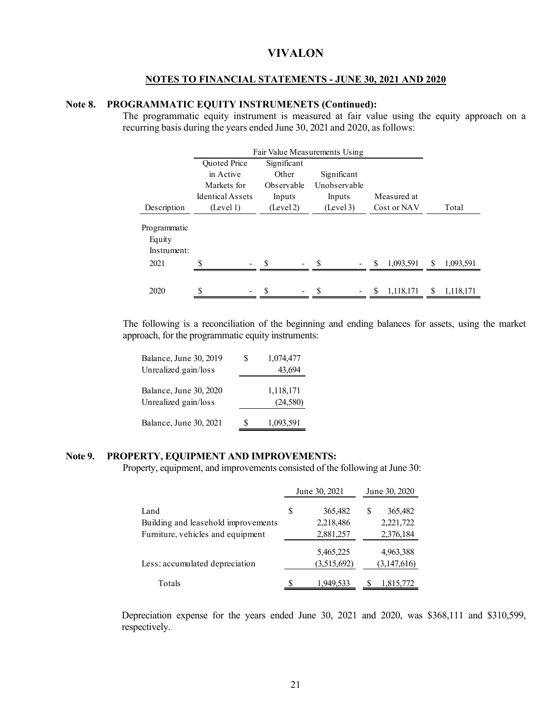#### **NOTES TO FINANCIAL STATEMENTS - JUNE 30, 2021 AND 2020**

## **Note 8. PROGRAMMATIC EQUITY INSTRUMENETS (Continued):**

The programmatic equity instrument is measured at fair value using the equity approach on a recurring basis during the years ended June 30, 2021 and 2020, as follows:

|                                               | Fair Value Measurements Using |             |                          |                       |                 |
|-----------------------------------------------|-------------------------------|-------------|--------------------------|-----------------------|-----------------|
|                                               | Quoted Price                  | Significant |                          |                       |                 |
|                                               | in Active                     | Other       | Significant              |                       |                 |
|                                               | Markets for                   | Observable  | Unobservable             |                       |                 |
|                                               | <b>Identical Assets</b>       | Inputs      | Inputs                   | Measured at           |                 |
| Description                                   | (Level 1)                     | (Level 2)   | (Level 3)<br>Cost or NAV |                       | Total           |
| Programmatic<br>Equity<br>Instrument:<br>2021 |                               | -S          | $-$ \$<br>$\blacksquare$ | 1,093,591<br><b>S</b> | 1,093,591<br>S. |
|                                               |                               |             |                          |                       |                 |
| 2020                                          |                               | S           | S                        | 1,118,171<br>S        | S<br>1,118,171  |

The following is a reconciliation of the beginning and ending balances for assets, using the market approach, for the programmatic equity instruments:

|   | 1,074,477             |
|---|-----------------------|
|   | 43.694                |
|   | 1,118,171<br>(24,580) |
| S | 1,093,591             |
|   |                       |

## **Note 9. PROPERTY, EQUIPMENT AND IMPROVEMENTS:**

Property, equipment, and improvements consisted of the following at June 30:

|                                     |   | June 30, 2021 | June 30, 2020 |             |  |
|-------------------------------------|---|---------------|---------------|-------------|--|
| Land                                | S | 365,482       |               | 365,482     |  |
| Building and leasehold improvements |   | 2,218,486     |               | 2,221,722   |  |
| Furniture, vehicles and equipment   |   | 2,881,257     |               | 2,376,184   |  |
|                                     |   | 5,465,225     |               | 4,963,388   |  |
| Less: accumulated depreciation      |   | (3,515,692)   |               | (3,147,616) |  |
| Totals                              |   | 1,949,533     |               | 1,815,772   |  |

Depreciation expense for the years ended June 30, 2021 and 2020, was \$368,111 and \$310,599, respectively.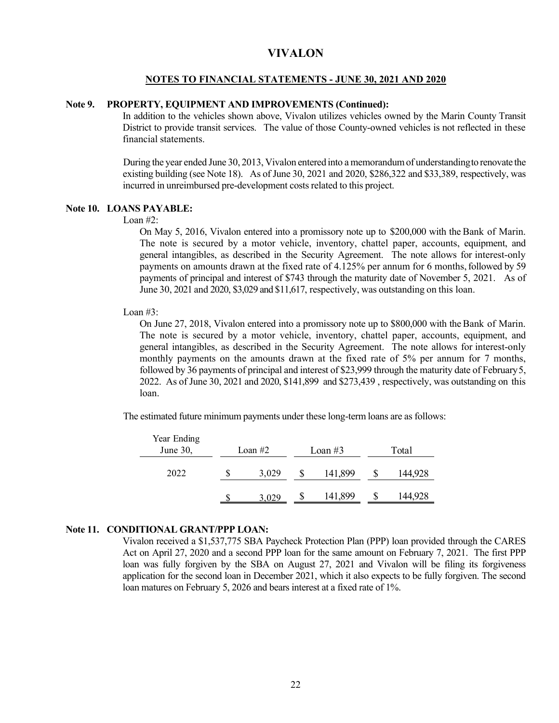#### **NOTES TO FINANCIAL STATEMENTS - JUNE 30, 2021 AND 2020**

## **Note 9. PROPERTY, EQUIPMENT AND IMPROVEMENTS (Continued):**

In addition to the vehicles shown above, Vivalon utilizes vehicles owned by the Marin County Transit District to provide transit services. The value of those County-owned vehicles is not reflected in these financial statements.

During the year ended June 30, 2013, Vivalon entered into a memorandum of understanding to renovate the existing building (see Note 18). As of June 30, 2021 and 2020, \$286,322 and \$33,389, respectively, was incurred in unreimbursed pre-development costs related to this project.

## **Note 10. LOANS PAYABLE:**

#### Loan  $#2$ :

On May 5, 2016, Vivalon entered into a promissory note up to \$200,000 with the Bank of Marin. The note is secured by a motor vehicle, inventory, chattel paper, accounts, equipment, and general intangibles, as described in the Security Agreement. The note allows for interest-only payments on amounts drawn at the fixed rate of 4.125% per annum for 6 months, followed by 59 payments of principal and interest of \$743 through the maturity date of November 5, 2021. As of June 30, 2021 and 2020, \$3,029 and \$11,617, respectively, was outstanding on this loan.

#### Loan  $#3$ :

On June 27, 2018, Vivalon entered into a promissory note up to \$800,000 with the Bank of Marin. The note is secured by a motor vehicle, inventory, chattel paper, accounts, equipment, and general intangibles, as described in the Security Agreement. The note allows for interest-only monthly payments on the amounts drawn at the fixed rate of 5% per annum for 7 months, followed by 36 payments of principal and interest of \$23,999 through the maturity date of February 5, 2022. As of June 30, 2021 and 2020, \$141,899 and \$273,439 , respectively, was outstanding on this loan.

The estimated future minimum payments under these long-term loans are as follows:

| Year Ending<br>June 30, |            | Loan $#2$ | Loan $#3$ | Total   |
|-------------------------|------------|-----------|-----------|---------|
| 2022                    | 3,029<br>S |           | 141,899   | 144,928 |
|                         |            | 3,029     | 141,899   | 144.928 |

## **Note 11. CONDITIONAL GRANT/PPP LOAN:**

Vivalon received a \$1,537,775 SBA Paycheck Protection Plan (PPP) loan provided through the CARES Act on April 27, 2020 and a second PPP loan for the same amount on February 7, 2021. The first PPP loan was fully forgiven by the SBA on August 27, 2021 and Vivalon will be filing its forgiveness application for the second loan in December 2021, which it also expects to be fully forgiven. The second loan matures on February 5, 2026 and bears interest at a fixed rate of 1%.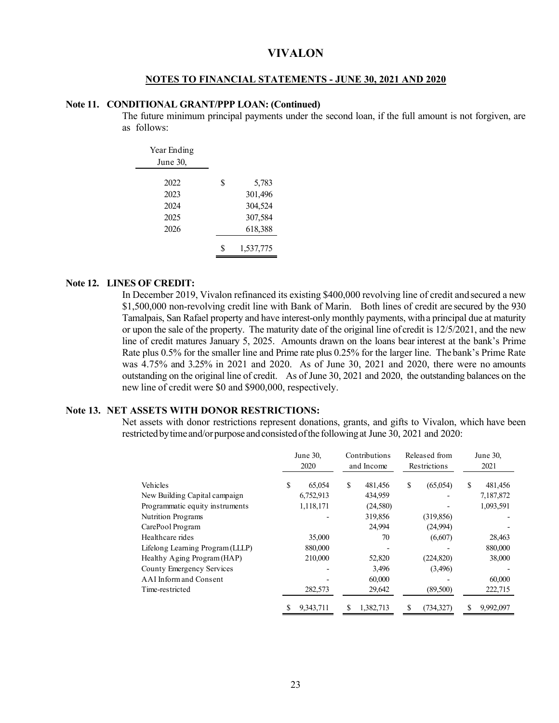#### **NOTES TO FINANCIAL STATEMENTS - JUNE 30, 2021 AND 2020**

## **Note 11. CONDITIONAL GRANT/PPP LOAN: (Continued)**

The future minimum principal payments under the second loan, if the full amount is not forgiven, are as follows:

| Year Ending |    |           |
|-------------|----|-----------|
| June 30,    |    |           |
| 2022        | \$ | 5,783     |
| 2023        |    | 301,496   |
| 2024        |    | 304,524   |
| 2025        |    | 307,584   |
| 2026        |    | 618,388   |
|             | S  | 1,537,775 |

## **Note 12. LINES OF CREDIT:**

In December 2019, Vivalon refinanced its existing \$400,000 revolving line of credit and secured a new \$1,500,000 non-revolving credit line with Bank of Marin. Both lines of credit are secured by the 930 Tamalpais, San Rafael property and have interest-only monthly payments, with a principal due at maturity or upon the sale of the property. The maturity date of the original line of credit is 12/5/2021, and the new line of credit matures January 5, 2025. Amounts drawn on the loans bear interest at the bank's Prime Rate plus 0.5% for the smaller line and Prime rate plus 0.25% for the larger line. The bank's Prime Rate was 4.75% and 3.25% in 2021 and 2020. As of June 30, 2021 and 2020, there were no amounts outstanding on the original line of credit. As of June 30, 2021 and 2020, the outstanding balances on the new line of credit were \$0 and \$900,000, respectively.

#### **Note 13. NET ASSETS WITH DONOR RESTRICTIONS:**

Net assets with donor restrictions represent donations, grants, and gifts to Vivalon, which have been restricted by time and/or purpose and consisted of the following at June 30, 2021 and 2020:

|                                  | Contributions<br>June 30,<br>2020<br>and Income |           |   | Released from<br>Restrictions |    | June 30,<br>2021 |    |           |
|----------------------------------|-------------------------------------------------|-----------|---|-------------------------------|----|------------------|----|-----------|
| Vehicles                         | S                                               | 65,054    | S | 481,456                       | \$ | (65,054)         | \$ | 481,456   |
| New Building Capital campaign    |                                                 | 6,752,913 |   | 434,959                       |    |                  |    | 7,187,872 |
| Programmatic equity instruments  |                                                 | 1,118,171 |   | (24,580)                      |    |                  |    | 1,093,591 |
| <b>Nutrition Programs</b>        |                                                 |           |   | 319,856                       |    | (319, 856)       |    |           |
| CarePool Program                 |                                                 |           |   | 24,994                        |    | (24,994)         |    |           |
| Healthcare rides                 |                                                 | 35,000    |   | 70                            |    | (6,607)          |    | 28,463    |
| Lifelong Learning Program (LLLP) |                                                 | 880,000   |   |                               |    |                  |    | 880,000   |
| Healthy Aging Program (HAP)      |                                                 | 210,000   |   | 52,820                        |    | (224, 820)       |    | 38,000    |
| County Emergency Services        |                                                 |           |   | 3,496                         |    | (3,496)          |    |           |
| AAI Inform and Consent           |                                                 |           |   | 60,000                        |    |                  |    | 60,000    |
| Time-restricted                  |                                                 | 282,573   |   | 29,642                        |    | (89,500)         |    | 222,715   |
|                                  | S                                               | 9,343,711 | S | 1,382,713                     | \$ | (734, 327)       | S  | 9,992,097 |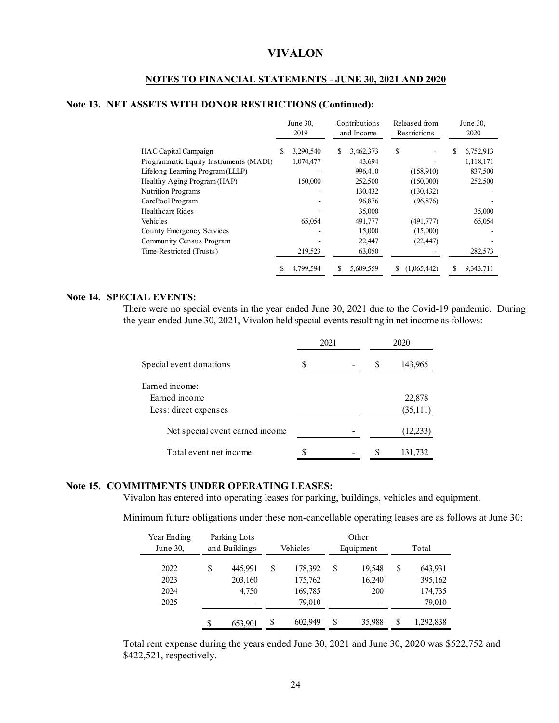## **NOTES TO FINANCIAL STATEMENTS - JUNE 30, 2021 AND 2020**

## **Note 13. NET ASSETS WITH DONOR RESTRICTIONS (Continued):**

|                                        |   | June 30.<br>2019 |   | Contributions<br>and Income |    | Released from<br>Restrictions |   | June 30,<br>2020 |  |
|----------------------------------------|---|------------------|---|-----------------------------|----|-------------------------------|---|------------------|--|
| HAC Capital Campaign                   | S | 3.290.540        | S | 3,462,373                   | \$ |                               | S | 6,752,913        |  |
| Programmatic Equity Instruments (MADI) |   | 1,074,477        |   | 43,694                      |    |                               |   | 1,118,171        |  |
| Lifelong Learning Program (LLLP)       |   |                  |   | 996,410                     |    | (158,910)                     |   | 837,500          |  |
| Healthy Aging Program (HAP)            |   | 150,000          |   | 252,500                     |    | (150,000)                     |   | 252,500          |  |
| Nutrition Programs                     |   |                  |   | 130,432                     |    | (130, 432)                    |   |                  |  |
| CarePool Program                       |   |                  |   | 96,876                      |    | (96, 876)                     |   |                  |  |
| Healthcare Rides                       |   |                  |   | 35,000                      |    |                               |   | 35,000           |  |
| Vehicles                               |   | 65,054           |   | 491,777                     |    | (491,777)                     |   | 65,054           |  |
| County Emergency Services              |   |                  |   | 15,000                      |    | (15,000)                      |   |                  |  |
| Community Census Program               |   |                  |   | 22,447                      |    | (22, 447)                     |   |                  |  |
| Time-Restricted (Trusts)               |   | 219,523          |   | 63,050                      |    |                               |   | 282,573          |  |
|                                        | S | 4,799,594        | S | 5,609,559                   | S  | (1,065,442)                   | S | 9,343,711        |  |

### **Note 14. SPECIAL EVENTS:**

There were no special events in the year ended June 30, 2021 due to the Covid-19 pandemic. During the year ended June 30, 2021, Vivalon held special events resulting in net income as follows:

|                                 |   | 2021 | 2020 |           |  |
|---------------------------------|---|------|------|-----------|--|
| Special event donations         | S |      | S    | 143,965   |  |
| Farned income:                  |   |      |      |           |  |
| Farned income                   |   |      |      | 22,878    |  |
| Less: direct expenses           |   |      |      | (35,111)  |  |
| Net special event earned income |   |      |      | (12, 233) |  |
| Total event net income          |   |      |      | 131,732   |  |

#### **Note 15. COMMITMENTS UNDER OPERATING LEASES:**

Vivalon has entered into operating leases for parking, buildings, vehicles and equipment.

Minimum future obligations under these non-cancellable operating leases are as follows at June 30:

| Year Ending |    | Parking Lots  | Other    |         |           |        |       |           |
|-------------|----|---------------|----------|---------|-----------|--------|-------|-----------|
| June 30,    |    | and Buildings | Vehicles |         | Equipment |        | Total |           |
| 2022        | \$ | 445.991       | \$       | 178,392 | S         | 19,548 | \$    | 643,931   |
| 2023        |    | 203,160       |          | 175,762 |           | 16,240 |       | 395,162   |
| 2024        |    | 4.750         |          | 169,785 |           | 200    |       | 174,735   |
| 2025        |    |               |          | 79,010  |           |        |       | 79,010    |
|             | S  | 653,901       | \$       | 602,949 | S         | 35,988 | S     | 1,292,838 |

Total rent expense during the years ended June 30, 2021 and June 30, 2020 was \$522,752 and \$422,521, respectively.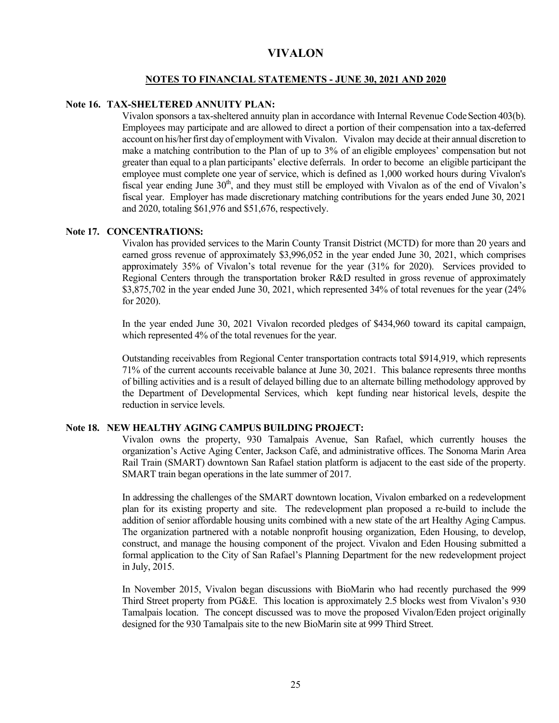#### **NOTES TO FINANCIAL STATEMENTS - JUNE 30, 2021 AND 2020**

## **Note 16. TAX-SHELTERED ANNUITY PLAN:**

Vivalon sponsors a tax-sheltered annuity plan in accordance with Internal Revenue Code Section 403(b). Employees may participate and are allowed to direct a portion of their compensation into a tax-deferred account on his/her first day of employment with Vivalon. Vivalon may decide at their annual discretion to make a matching contribution to the Plan of up to 3% of an eligible employees' compensation but not greater than equal to a plan participants' elective deferrals. In order to become an eligible participant the employee must complete one year of service, which is defined as 1,000 worked hours during Vivalon's fiscal year ending June  $30<sup>th</sup>$ , and they must still be employed with Vivalon as of the end of Vivalon's fiscal year. Employer has made discretionary matching contributions for the years ended June 30, 2021 and 2020, totaling \$61,976 and \$51,676, respectively.

#### **Note 17. CONCENTRATIONS:**

Vivalon has provided services to the Marin County Transit District (MCTD) for more than 20 years and earned gross revenue of approximately \$3,996,052 in the year ended June 30, 2021, which comprises approximately 35% of Vivalon's total revenue for the year (31% for 2020). Services provided to Regional Centers through the transportation broker R&D resulted in gross revenue of approximately \$3,875,702 in the year ended June 30, 2021, which represented 34% of total revenues for the year (24% for 2020).

In the year ended June 30, 2021 Vivalon recorded pledges of \$434,960 toward its capital campaign, which represented 4% of the total revenues for the year.

Outstanding receivables from Regional Center transportation contracts total \$914,919, which represents 71% of the current accounts receivable balance at June 30, 2021. This balance represents three months of billing activities and is a result of delayed billing due to an alternate billing methodology approved by the Department of Developmental Services, which kept funding near historical levels, despite the reduction in service levels.

## **Note 18. NEW HEALTHY AGING CAMPUS BUILDING PROJECT:**

Vivalon owns the property, 930 Tamalpais Avenue, San Rafael, which currently houses the organization's Active Aging Center, Jackson Café, and administrative offices. The Sonoma Marin Area Rail Train (SMART) downtown San Rafael station platform is adjacent to the east side of the property. SMART train began operations in the late summer of 2017.

In addressing the challenges of the SMART downtown location, Vivalon embarked on a redevelopment plan for its existing property and site. The redevelopment plan proposed a re-build to include the addition of senior affordable housing units combined with a new state of the art Healthy Aging Campus. The organization partnered with a notable nonprofit housing organization, Eden Housing, to develop, construct, and manage the housing component of the project. Vivalon and Eden Housing submitted a formal application to the City of San Rafael's Planning Department for the new redevelopment project in July, 2015.

In November 2015, Vivalon began discussions with BioMarin who had recently purchased the 999 Third Street property from PG&E. This location is approximately 2.5 blocks west from Vivalon's 930 Tamalpais location. The concept discussed was to move the proposed Vivalon/Eden project originally designed for the 930 Tamalpais site to the new BioMarin site at 999 Third Street.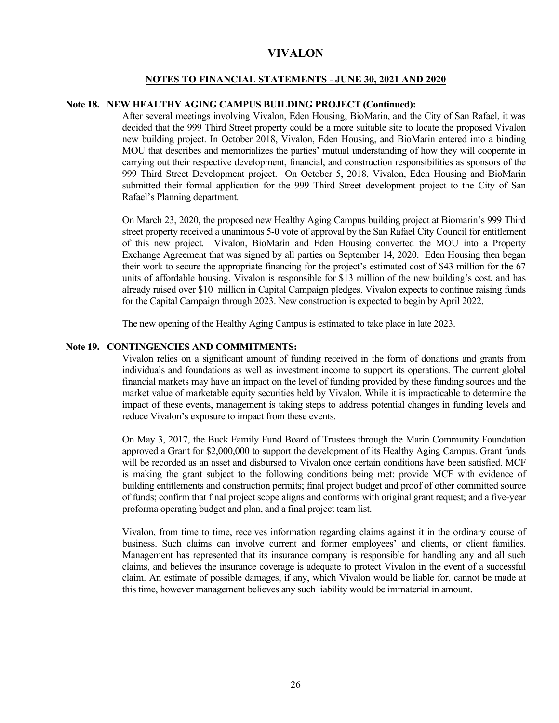### **NOTES TO FINANCIAL STATEMENTS - JUNE 30, 2021 AND 2020**

## **Note 18. NEW HEALTHY AGING CAMPUS BUILDING PROJECT (Continued):**

After several meetings involving Vivalon, Eden Housing, BioMarin, and the City of San Rafael, it was decided that the 999 Third Street property could be a more suitable site to locate the proposed Vivalon new building project. In October 2018, Vivalon, Eden Housing, and BioMarin entered into a binding MOU that describes and memorializes the parties' mutual understanding of how they will cooperate in carrying out their respective development, financial, and construction responsibilities as sponsors of the 999 Third Street Development project. On October 5, 2018, Vivalon, Eden Housing and BioMarin submitted their formal application for the 999 Third Street development project to the City of San Rafael's Planning department.

On March 23, 2020, the proposed new Healthy Aging Campus building project at Biomarin's 999 Third street property received a unanimous 5-0 vote of approval by the San Rafael City Council for entitlement of this new project. Vivalon, BioMarin and Eden Housing converted the MOU into a Property Exchange Agreement that was signed by all parties on September 14, 2020. Eden Housing then began their work to secure the appropriate financing for the project's estimated cost of \$43 million for the 67 units of affordable housing. Vivalon is responsible for \$13 million of the new building's cost, and has already raised over \$10 million in Capital Campaign pledges. Vivalon expects to continue raising funds for the Capital Campaign through 2023. New construction is expected to begin by April 2022.

The new opening of the Healthy Aging Campus is estimated to take place in late 2023.

## **Note 19. CONTINGENCIES AND COMMITMENTS:**

Vivalon relies on a significant amount of funding received in the form of donations and grants from individuals and foundations as well as investment income to support its operations. The current global financial markets may have an impact on the level of funding provided by these funding sources and the market value of marketable equity securities held by Vivalon. While it is impracticable to determine the impact of these events, management is taking steps to address potential changes in funding levels and reduce Vivalon's exposure to impact from these events.

On May 3, 2017, the Buck Family Fund Board of Trustees through the Marin Community Foundation approved a Grant for \$2,000,000 to support the development of its Healthy Aging Campus. Grant funds will be recorded as an asset and disbursed to Vivalon once certain conditions have been satisfied. MCF is making the grant subject to the following conditions being met: provide MCF with evidence of building entitlements and construction permits; final project budget and proof of other committed source of funds; confirm that final project scope aligns and conforms with original grant request; and a five-year proforma operating budget and plan, and a final project team list.

Vivalon, from time to time, receives information regarding claims against it in the ordinary course of business. Such claims can involve current and former employees' and clients, or client families. Management has represented that its insurance company is responsible for handling any and all such claims, and believes the insurance coverage is adequate to protect Vivalon in the event of a successful claim. An estimate of possible damages, if any, which Vivalon would be liable for, cannot be made at this time, however management believes any such liability would be immaterial in amount.